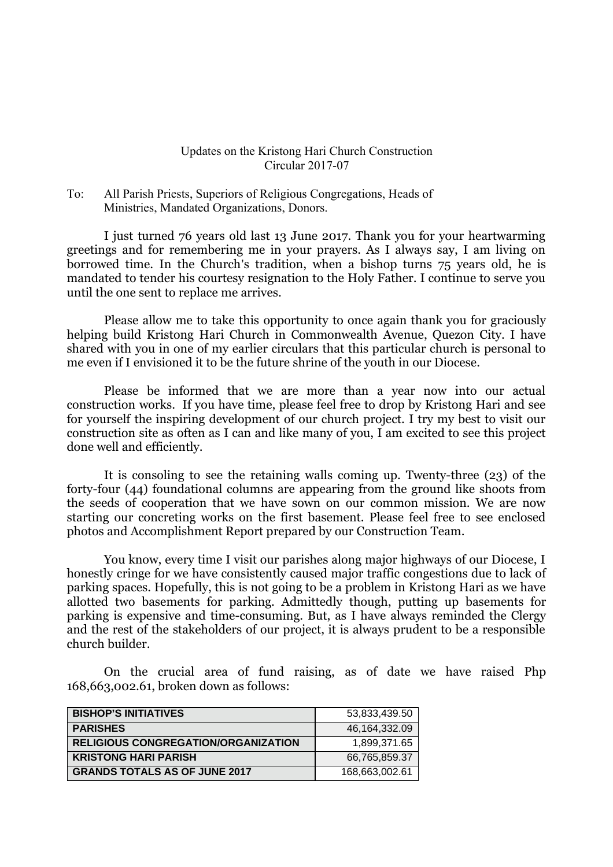## Updates on the Kristong Hari Church Construction Circular 2017-07

To: All Parish Priests, Superiors of Religious Congregations, Heads of Ministries, Mandated Organizations, Donors.

I just turned 76 years old last 13 June 2017. Thank you for your heartwarming greetings and for remembering me in your prayers. As I always say, I am living on borrowed time. In the Church's tradition, when a bishop turns 75 years old, he is mandated to tender his courtesy resignation to the Holy Father. I continue to serve you until the one sent to replace me arrives.

Please allow me to take this opportunity to once again thank you for graciously helping build Kristong Hari Church in Commonwealth Avenue, Quezon City. I have shared with you in one of my earlier circulars that this particular church is personal to me even if I envisioned it to be the future shrine of the youth in our Diocese.

Please be informed that we are more than a year now into our actual construction works. If you have time, please feel free to drop by Kristong Hari and see for yourself the inspiring development of our church project. I try my best to visit our construction site as often as I can and like many of you, I am excited to see this project done well and efficiently.

It is consoling to see the retaining walls coming up. Twenty-three (23) of the forty-four (44) foundational columns are appearing from the ground like shoots from the seeds of cooperation that we have sown on our common mission. We are now starting our concreting works on the first basement. Please feel free to see enclosed photos and Accomplishment Report prepared by our Construction Team.

You know, every time I visit our parishes along major highways of our Diocese, I honestly cringe for we have consistently caused major traffic congestions due to lack of parking spaces. Hopefully, this is not going to be a problem in Kristong Hari as we have allotted two basements for parking. Admittedly though, putting up basements for parking is expensive and time-consuming. But, as I have always reminded the Clergy and the rest of the stakeholders of our project, it is always prudent to be a responsible church builder.

On the crucial area of fund raising, as of date we have raised Php 168,663,002.61, broken down as follows:

| <b>BISHOP'S INITIATIVES</b>          | 53.833.439.50  |
|--------------------------------------|----------------|
| <b>PARISHES</b>                      | 46.164.332.09  |
| RELIGIOUS CONGREGATION/ORGANIZATION  | 1,899,371.65   |
| <b>KRISTONG HARI PARISH</b>          | 66,765,859.37  |
| <b>GRANDS TOTALS AS OF JUNE 2017</b> | 168,663,002.61 |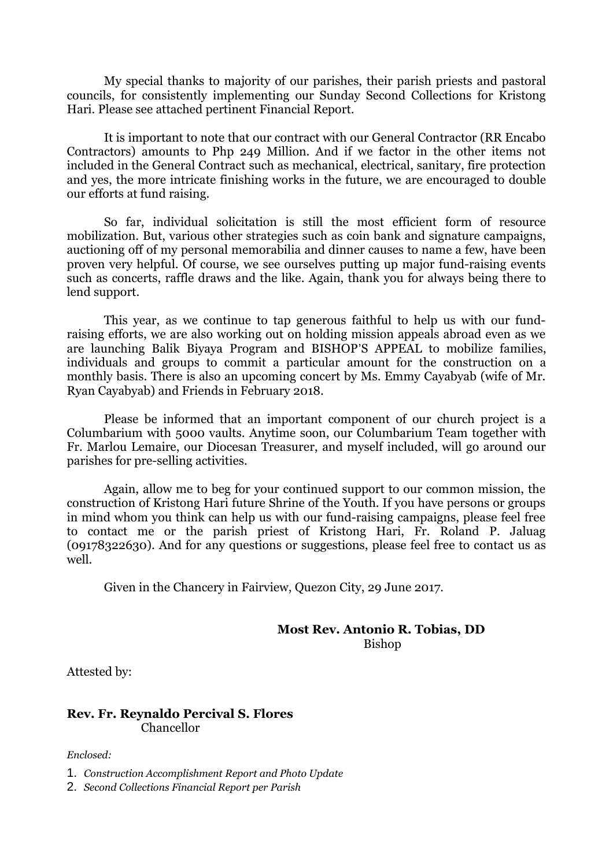My special thanks to majority of our parishes, their parish priests and pastoral councils, for consistently implementing our Sunday Second Collections for Kristong Hari. Please see attached pertinent Financial Report.

It is important to note that our contract with our General Contractor (RR Encabo Contractors) amounts to Php 249 Million. And if we factor in the other items not included in the General Contract such as mechanical, electrical, sanitary, fire protection and yes, the more intricate finishing works in the future, we are encouraged to double our efforts at fund raising.

So far, individual solicitation is still the most efficient form of resource mobilization. But, various other strategies such as coin bank and signature campaigns, auctioning off of my personal memorabilia and dinner causes to name a few, have been proven very helpful. Of course, we see ourselves putting up major fund-raising events such as concerts, raffle draws and the like. Again, thank you for always being there to lend support.

This year, as we continue to tap generous faithful to help us with our fundraising efforts, we are also working out on holding mission appeals abroad even as we are launching Balik Biyaya Program and BISHOP'S APPEAL to mobilize families, individuals and groups to commit a particular amount for the construction on a monthly basis. There is also an upcoming concert by Ms. Emmy Cayabyab (wife of Mr. Ryan Cayabyab) and Friends in February 2018.

Please be informed that an important component of our church project is a Columbarium with 5000 vaults. Anytime soon, our Columbarium Team together with Fr. Marlou Lemaire, our Diocesan Treasurer, and myself included, will go around our parishes for pre-selling activities.

Again, allow me to beg for your continued support to our common mission, the construction of Kristong Hari future Shrine of the Youth. If you have persons or groups in mind whom you think can help us with our fund-raising campaigns, please feel free to contact me or the parish priest of Kristong Hari, Fr. Roland P. Jaluag (09178322630). And for any questions or suggestions, please feel free to contact us as well.

Given in the Chancery in Fairview, Quezon City, 29 June 2017.

## **Most Rev. Antonio R. Tobias, DD**

Bishop

Attested by:

## **Rev. Fr. Reynaldo Percival S. Flores** Chancellor

*Enclosed:*

1. *Construction Accomplishment Report and Photo Update*

2. *Second Collections Financial Report per Parish*